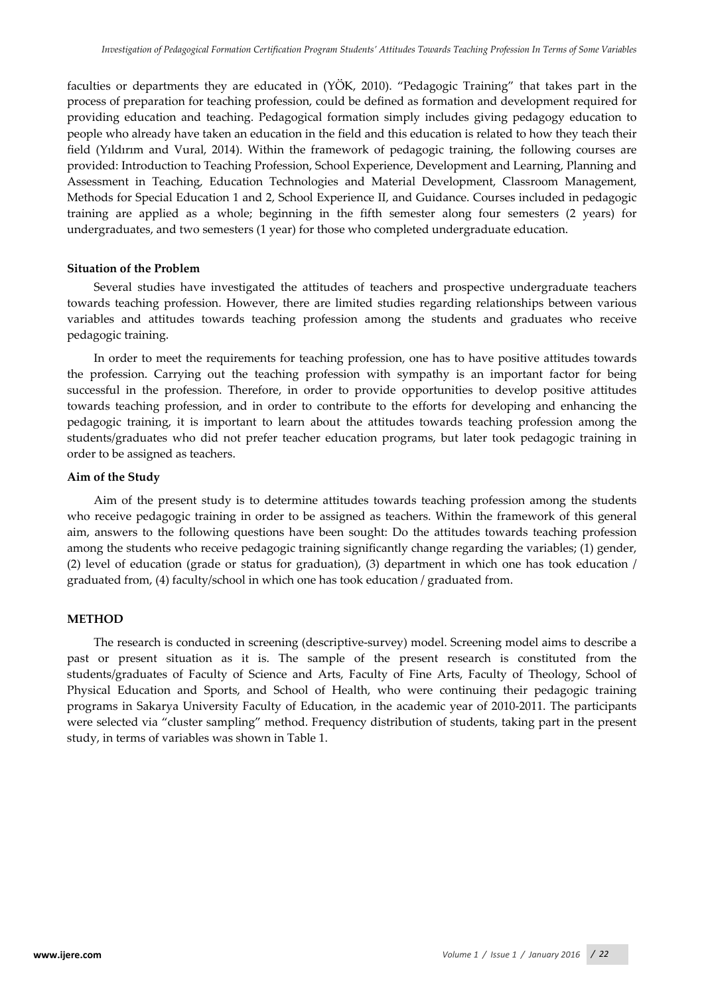faculties or departments they are educated in (YÖK, 2010). "Pedagogic Training" that takes part in the process of preparation for teaching profession, could be defined as formation and development required for providing education and teaching. Pedagogical formation simply includes giving pedagogy education to people who already have taken an education in the field and this education is related to how they teach their field (Yıldırım and Vural, 2014). Within the framework of pedagogic training, the following courses are provided: Introduction to Teaching Profession, School Experience, Development and Learning, Planning and Assessment in Teaching, Education Technologies and Material Development, Classroom Management, Methods for Special Education 1 and 2, School Experience II, and Guidance. Courses included in pedagogic training are applied as a whole; beginning in the fifth semester along four semesters (2 years) for undergraduates, and two semesters (1 year) for those who completed undergraduate education.

# **Situation of the Problem**

Several studies have investigated the attitudes of teachers and prospective undergraduate teachers towards teaching profession. However, there are limited studies regarding relationships between various variables and attitudes towards teaching profession among the students and graduates who receive pedagogic training.

In order to meet the requirements for teaching profession, one has to have positive attitudes towards the profession. Carrying out the teaching profession with sympathy is an important factor for being successful in the profession. Therefore, in order to provide opportunities to develop positive attitudes towards teaching profession, and in order to contribute to the efforts for developing and enhancing the pedagogic training, it is important to learn about the attitudes towards teaching profession among the students/graduates who did not prefer teacher education programs, but later took pedagogic training in order to be assigned as teachers.

### **Aim of the Study**

Aim of the present study is to determine attitudes towards teaching profession among the students who receive pedagogic training in order to be assigned as teachers. Within the framework of this general aim, answers to the following questions have been sought: Do the attitudes towards teaching profession among the students who receive pedagogic training significantly change regarding the variables; (1) gender, (2) level of education (grade or status for graduation), (3) department in which one has took education / graduated from, (4) faculty/school in which one has took education / graduated from.

# **METHOD**

The research is conducted in screening (descriptive-survey) model. Screening model aims to describe a past or present situation as it is. The sample of the present research is constituted from the students/graduates of Faculty of Science and Arts, Faculty of Fine Arts, Faculty of Theology, School of Physical Education and Sports, and School of Health, who were continuing their pedagogic training programs in Sakarya University Faculty of Education, in the academic year of 2010-2011. The participants were selected via "cluster sampling" method. Frequency distribution of students, taking part in the present study, in terms of variables was shown in Table 1.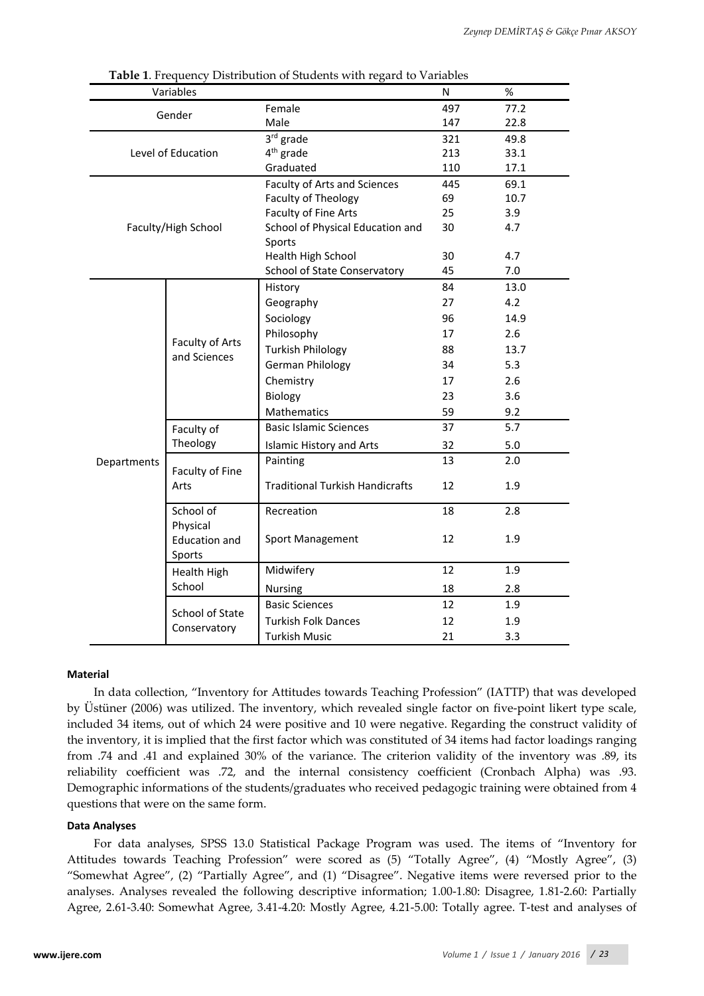|             | Variables                       | <b>Table 1.</b> FICGULICY DISTIDUIDII OF JUQUIUS WILL ICEAU TO VAHADICS | N   | %    |
|-------------|---------------------------------|-------------------------------------------------------------------------|-----|------|
|             |                                 | Female                                                                  | 497 | 77.2 |
|             | Gender                          | Male                                                                    | 147 | 22.8 |
|             |                                 | 3rd grade                                                               | 321 | 49.8 |
|             | Level of Education              | 4 <sup>th</sup> grade                                                   | 213 | 33.1 |
|             |                                 | Graduated                                                               | 110 | 17.1 |
|             |                                 | Faculty of Arts and Sciences                                            | 445 | 69.1 |
|             |                                 | Faculty of Theology                                                     | 69  | 10.7 |
|             |                                 | Faculty of Fine Arts                                                    | 25  | 3.9  |
|             | Faculty/High School             | School of Physical Education and                                        | 30  | 4.7  |
|             |                                 | Sports                                                                  |     |      |
|             |                                 | Health High School                                                      | 30  | 4.7  |
|             |                                 | School of State Conservatory                                            | 45  | 7.0  |
|             |                                 | History                                                                 | 84  | 13.0 |
|             | Faculty of Arts<br>and Sciences | Geography                                                               | 27  | 4.2  |
|             |                                 | Sociology                                                               | 96  | 14.9 |
|             |                                 | Philosophy                                                              | 17  | 2.6  |
|             |                                 | <b>Turkish Philology</b>                                                | 88  | 13.7 |
|             |                                 | German Philology                                                        | 34  | 5.3  |
|             |                                 | Chemistry                                                               | 17  | 2.6  |
|             |                                 | Biology                                                                 | 23  | 3.6  |
|             |                                 | Mathematics                                                             | 59  | 9.2  |
|             | Faculty of                      | <b>Basic Islamic Sciences</b>                                           | 37  | 5.7  |
|             | Theology                        | <b>Islamic History and Arts</b>                                         | 32  | 5.0  |
| Departments |                                 | Painting                                                                | 13  | 2.0  |
|             | Faculty of Fine                 |                                                                         |     |      |
|             | Arts                            | <b>Traditional Turkish Handicrafts</b>                                  | 12  | 1.9  |
|             | School of                       | Recreation                                                              | 18  | 2.8  |
|             | Physical                        |                                                                         |     |      |
|             | <b>Education and</b>            | Sport Management                                                        | 12  | 1.9  |
|             | Sports                          |                                                                         |     |      |
|             | Health High                     | Midwifery                                                               | 12  | 1.9  |
|             | School                          | Nursing                                                                 | 18  | 2.8  |
|             |                                 | <b>Basic Sciences</b>                                                   | 12  | 1.9  |
|             | School of State                 | <b>Turkish Folk Dances</b>                                              | 12  | 1.9  |
|             | Conservatory                    | <b>Turkish Music</b>                                                    | 21  | 3.3  |

**Table 1**. Frequency Distribution of Students with regard to Variables

### **Material**

In data collection, "Inventory for Attitudes towards Teaching Profession" (IATTP) that was developed by Üstüner (2006) was utilized. The inventory, which revealed single factor on five-point likert type scale, included 34 items, out of which 24 were positive and 10 were negative. Regarding the construct validity of the inventory, it is implied that the first factor which was constituted of 34 items had factor loadings ranging from .74 and .41 and explained 30% of the variance. The criterion validity of the inventory was .89, its reliability coefficient was .72, and the internal consistency coefficient (Cronbach Alpha) was .93. Demographic informations of the students/graduates who received pedagogic training were obtained from 4 questions that were on the same form.

#### **Data Analyses**

For data analyses, SPSS 13.0 Statistical Package Program was used. The items of "Inventory for Attitudes towards Teaching Profession" were scored as (5) "Totally Agree", (4) "Mostly Agree", (3) "Somewhat Agree", (2) "Partially Agree", and (1) "Disagree". Negative items were reversed prior to the analyses. Analyses revealed the following descriptive information; 1.00-1.80: Disagree, 1.81-2.60: Partially Agree, 2.61-3.40: Somewhat Agree, 3.41-4.20: Mostly Agree, 4.21-5.00: Totally agree. T-test and analyses of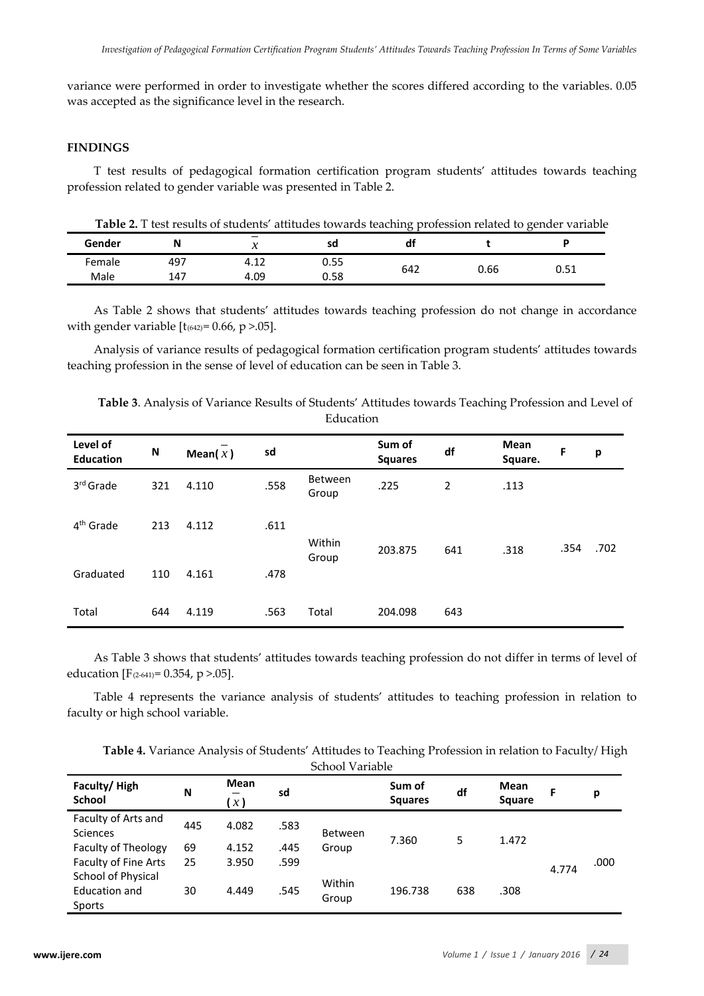variance were performed in order to investigate whether the scores differed according to the variables. 0.05 was accepted as the significance level in the research.

# **FINDINGS**

T test results of pedagogical formation certification program students' attitudes towards teaching profession related to gender variable was presented in Table 2.

**Table 2.** T test results of students' attitudes towards teaching profession related to gender variable

| Gender | N   | $\overline{\phantom{a}}$<br>$\overline{\phantom{a}}$<br>$\boldsymbol{\mathcal{N}}$ | sd   | df  |      | Đ    |
|--------|-----|------------------------------------------------------------------------------------|------|-----|------|------|
| Female | 497 | $\sim$<br>4. LZ                                                                    | 0.55 |     |      | 51   |
| Male   | 147 | 4.09                                                                               | 0.58 | 642 | 0.66 | ບ.ບ⊥ |

As Table 2 shows that students' attitudes towards teaching profession do not change in accordance with gender variable  $[t_{(642)} = 0.66, p > .05]$ .

Analysis of variance results of pedagogical formation certification program students' attitudes towards teaching profession in the sense of level of education can be seen in Table 3.

| Level of<br><b>Education</b> | N   | Mean $(x)$ | sd   |                         | Sum of<br><b>Squares</b> | df  | Mean<br>Square. | F    | p    |
|------------------------------|-----|------------|------|-------------------------|--------------------------|-----|-----------------|------|------|
| 3rd Grade                    | 321 | 4.110      | .558 | <b>Between</b><br>Group | .225                     | 2   | .113            |      |      |
| 4 <sup>th</sup> Grade        | 213 | 4.112      | .611 | Within                  |                          |     |                 | .354 | .702 |
| Graduated                    | 110 | 4.161      | .478 | Group                   | 203.875                  | 641 | .318            |      |      |
| Total                        | 644 | 4.119      | .563 | Total                   | 204.098                  | 643 |                 |      |      |

**Table 3**. Analysis of Variance Results of Students' Attitudes towards Teaching Profession and Level of Education

As Table 3 shows that students' attitudes towards teaching profession do not differ in terms of level of education [ $F_{(2-641)} = 0.354$ , p > 0.05].

Table 4 represents the variance analysis of students' attitudes to teaching profession in relation to faculty or high school variable.

| Table 4. Variance Analysis of Students' Attitudes to Teaching Profession in relation to Faculty/ High |                 |  |  |  |
|-------------------------------------------------------------------------------------------------------|-----------------|--|--|--|
|                                                                                                       | School Variable |  |  |  |

| Faculty/High<br><b>School</b>              | N   | <b>Mean</b><br>x) | sd   |                 | Sum of<br><b>Squares</b> | df  | Mean<br><b>Square</b> |       | р    |
|--------------------------------------------|-----|-------------------|------|-----------------|--------------------------|-----|-----------------------|-------|------|
| Faculty of Arts and<br><b>Sciences</b>     | 445 | 4.082             | .583 | <b>Between</b>  |                          |     |                       |       |      |
| Faculty of Theology                        | 69  | 4.152             | .445 | Group           | 7.360                    | 5   | 1.472                 |       |      |
| Faculty of Fine Arts<br>School of Physical | 25  | 3.950             | .599 |                 |                          |     |                       | 4.774 | .000 |
| Education and<br>Sports                    | 30  | 4.449             | .545 | Within<br>Group | 196.738                  | 638 | .308                  |       |      |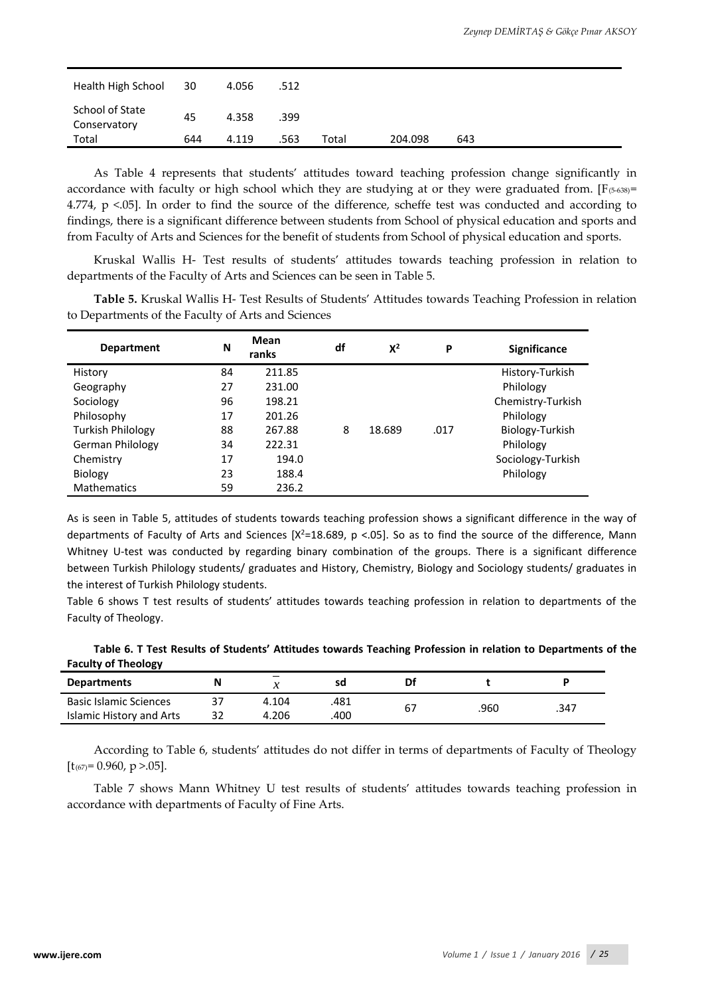| Health High School              | 30  | 4.056 | .512 |       |         |     |
|---------------------------------|-----|-------|------|-------|---------|-----|
| School of State<br>Conservatory | 45  | 4.358 | .399 |       |         |     |
| Total                           | 644 | 4.119 | .563 | Total | 204.098 | 643 |

As Table 4 represents that students' attitudes toward teaching profession change significantly in accordance with faculty or high school which they are studying at or they were graduated from. [ $F$ (5-638)= 4.774, p <.05]. In order to find the source of the difference, scheffe test was conducted and according to findings, there is a significant difference between students from School of physical education and sports and from Faculty of Arts and Sciences for the benefit of students from School of physical education and sports.

Kruskal Wallis H- Test results of students' attitudes towards teaching profession in relation to departments of the Faculty of Arts and Sciences can be seen in Table 5.

**Table 5.** Kruskal Wallis H- Test Results of Students' Attitudes towards Teaching Profession in relation to Departments of the Faculty of Arts and Sciences

| <b>Department</b>        | N  | Mean<br>ranks | df | $X^2$  | P    | <b>Significance</b> |
|--------------------------|----|---------------|----|--------|------|---------------------|
| History                  | 84 | 211.85        |    |        |      | History-Turkish     |
| Geography                | 27 | 231.00        |    |        |      | Philology           |
| Sociology                | 96 | 198.21        |    |        |      | Chemistry-Turkish   |
| Philosophy               | 17 | 201.26        |    |        |      | Philology           |
| <b>Turkish Philology</b> | 88 | 267.88        | 8  | 18.689 | .017 | Biology-Turkish     |
| German Philology         | 34 | 222.31        |    |        |      | Philology           |
| Chemistry                | 17 | 194.0         |    |        |      | Sociology-Turkish   |
| Biology                  | 23 | 188.4         |    |        |      | Philology           |
| <b>Mathematics</b>       | 59 | 236.2         |    |        |      |                     |

As is seen in Table 5, attitudes of students towards teaching profession shows a significant difference in the way of departments of Faculty of Arts and Sciences  $[X^2=18.689, p < .05]$ . So as to find the source of the difference, Mann Whitney U-test was conducted by regarding binary combination of the groups. There is a significant difference between Turkish Philology students/ graduates and History, Chemistry, Biology and Sociology students/ graduates in the interest of Turkish Philology students.

Table 6 shows T test results of students' attitudes towards teaching profession in relation to departments of the Faculty of Theology.

**Table 6. T Test Results of Students' Attitudes towards Teaching Profession in relation to Departments of the Faculty of Theology**

| <b>Departments</b>            |       | sd   | Df |      |      |
|-------------------------------|-------|------|----|------|------|
| <b>Basic Islamic Sciences</b> | 4.104 | .481 |    |      |      |
| Islamic History and Arts      | 4.206 | .400 | ь, | .960 | .347 |

According to Table 6, students' attitudes do not differ in terms of departments of Faculty of Theology  $[t_{(67)} = 0.960, p > 0.05]$ .

Table 7 shows Mann Whitney U test results of students' attitudes towards teaching profession in accordance with departments of Faculty of Fine Arts.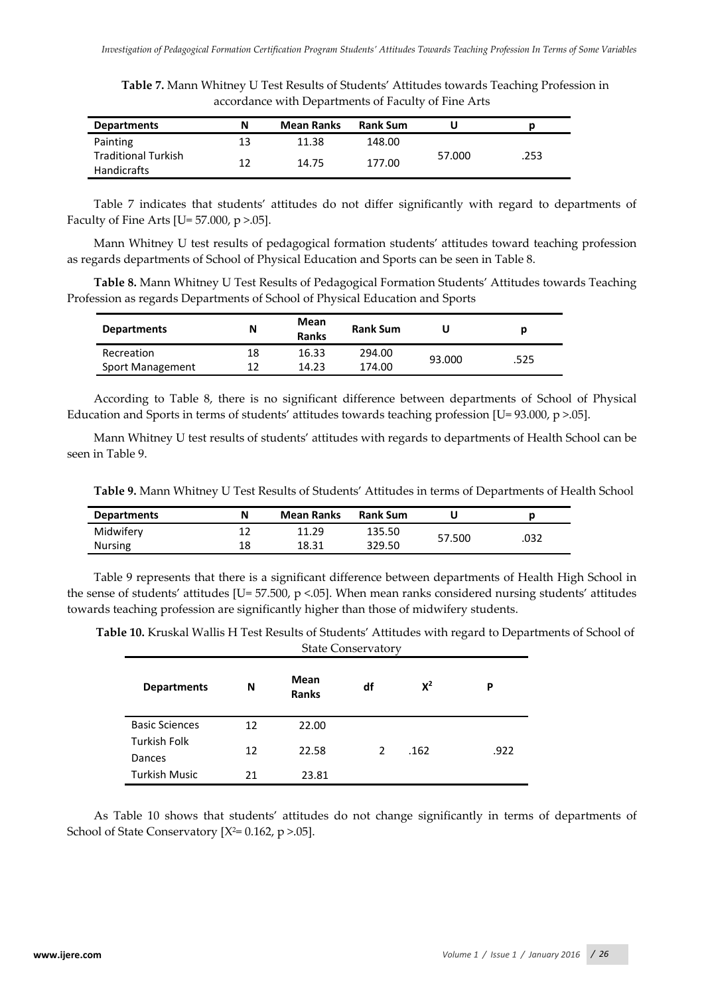**Table 7.** Mann Whitney U Test Results of Students' Attitudes towards Teaching Profession in accordance with Departments of Faculty of Fine Arts

| <b>Departments</b>                               | N  | <b>Mean Ranks</b> | <b>Rank Sum</b> |        |      |
|--------------------------------------------------|----|-------------------|-----------------|--------|------|
| Painting                                         | 13 | 11.38             | 148.00          |        |      |
| <b>Traditional Turkish</b><br><b>Handicrafts</b> | 12 | 14.75             | 177.00          | 57.000 | .253 |

Table 7 indicates that students' attitudes do not differ significantly with regard to departments of Faculty of Fine Arts [U=  $57.000$ ,  $p > .05$ ].

Mann Whitney U test results of pedagogical formation students' attitudes toward teaching profession as regards departments of School of Physical Education and Sports can be seen in Table 8.

**Table 8.** Mann Whitney U Test Results of Pedagogical Formation Students' Attitudes towards Teaching Profession as regards Departments of School of Physical Education and Sports

| <b>Departments</b> | Ν  | Mean<br><b>Ranks</b> | <b>Rank Sum</b> | U      |      |
|--------------------|----|----------------------|-----------------|--------|------|
| Recreation         | 18 | 16.33                | 294.00          | 93.000 | .525 |
| Sport Management   | 17 | 14.23                | 174.00          |        |      |

According to Table 8, there is no significant difference between departments of School of Physical Education and Sports in terms of students' attitudes towards teaching profession [U= 93.000, p >.05].

Mann Whitney U test results of students' attitudes with regards to departments of Health School can be seen in Table 9.

**Table 9.** Mann Whitney U Test Results of Students' Attitudes in terms of Departments of Health School

| <b>Departments</b> | Ν  | <b>Mean Ranks</b> | <b>Rank Sum</b> |        |      |
|--------------------|----|-------------------|-----------------|--------|------|
| Midwifery          |    | - 29              | 135.50          | 57.500 | .032 |
| <b>Nursing</b>     | 18 | 18.31             | 329.50          |        |      |

Table 9 represents that there is a significant difference between departments of Health High School in the sense of students' attitudes [U= 57.500, p <.05]. When mean ranks considered nursing students' attitudes towards teaching profession are significantly higher than those of midwifery students.

**Table 10.** Kruskal Wallis H Test Results of Students' Attitudes with regard to Departments of School of State Conservatory

| <b>Departments</b>            | N  | Mean<br><b>Ranks</b> | df | $X^2$ | P    |
|-------------------------------|----|----------------------|----|-------|------|
| <b>Basic Sciences</b>         | 12 | 22.00                |    |       |      |
| <b>Turkish Folk</b><br>Dances | 12 | 22.58                | 2  | .162  | .922 |
| <b>Turkish Music</b>          | 21 | 23.81                |    |       |      |

As Table 10 shows that students' attitudes do not change significantly in terms of departments of School of State Conservatory  $[X^2=0.162, p > 0.05]$ .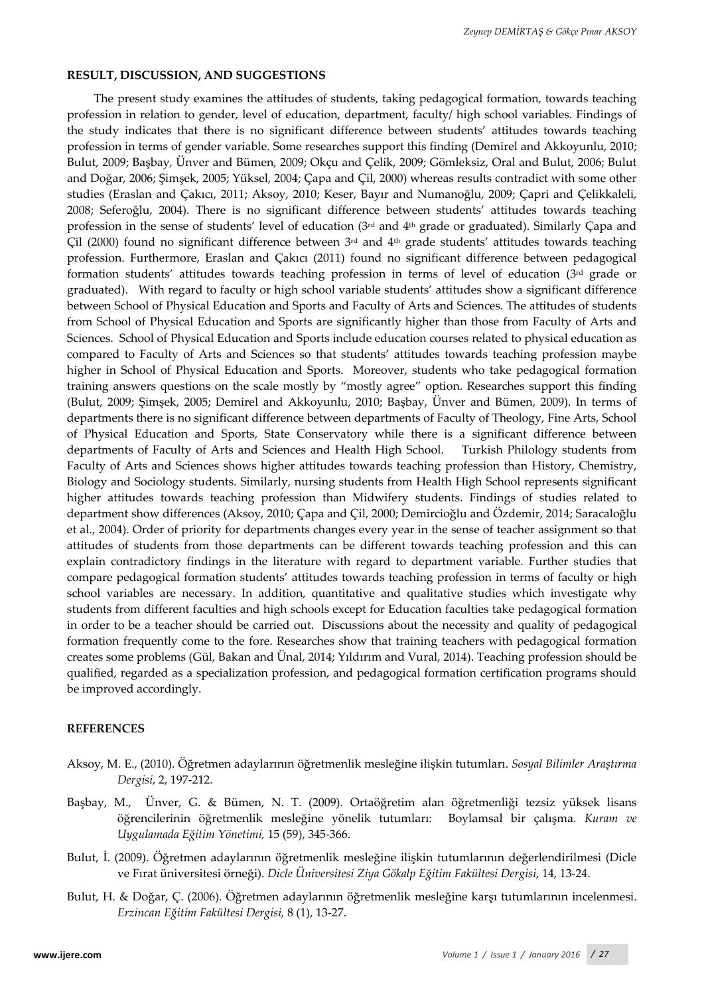### **RESULT, DISCUSSION, AND SUGGESTIONS**

The present study examines the attitudes of students, taking pedagogical formation, towards teaching profession in relation to gender, level of education, department, faculty/ high school variables. Findings of the study indicates that there is no significant difference between students' attitudes towards teaching profession in terms of gender variable. Some researches support this finding (Demirel and Akkoyunlu, 2010; Bulut, 2009; Başbay, Ünver and Bümen, 2009; Okçu and Çelik, 2009; Gömleksiz, Oral and Bulut, 2006; Bulut and Doğar, 2006; Şimşek, 2005; Yüksel, 2004; Çapa and Çil, 2000) whereas results contradict with some other studies (Eraslan and Çakıcı, 2011; Aksoy, 2010; Keser, Bayır and Numanoğlu, 2009; Çapri and Çelikkaleli, 2008; Seferoğlu, 2004). There is no significant difference between students' attitudes towards teaching profession in the sense of students' level of education (3rd and 4th grade or graduated). Similarly Çapa and Çil (2000) found no significant difference between  $3<sup>rd</sup>$  and  $4<sup>th</sup>$  grade students' attitudes towards teaching profession. Furthermore, Eraslan and Çakıcı (2011) found no significant difference between pedagogical formation students' attitudes towards teaching profession in terms of level of education (3rd grade or graduated). With regard to faculty or high school variable students' attitudes show a significant difference between School of Physical Education and Sports and Faculty of Arts and Sciences. The attitudes of students from School of Physical Education and Sports are significantly higher than those from Faculty of Arts and Sciences. School of Physical Education and Sports include education courses related to physical education as compared to Faculty of Arts and Sciences so that students' attitudes towards teaching profession maybe higher in School of Physical Education and Sports. Moreover, students who take pedagogical formation training answers questions on the scale mostly by "mostly agree" option. Researches support this finding (Bulut, 2009; Şimşek, 2005; Demirel and Akkoyunlu, 2010; Başbay, Ünver and Bümen, 2009). In terms of departments there is no significant difference between departments of Faculty of Theology, Fine Arts, School of Physical Education and Sports, State Conservatory while there is a significant difference between departments of Faculty of Arts and Sciences and Health High School. Turkish Philology students from Faculty of Arts and Sciences shows higher attitudes towards teaching profession than History, Chemistry, Biology and Sociology students. Similarly, nursing students from Health High School represents significant higher attitudes towards teaching profession than Midwifery students. Findings of studies related to department show differences (Aksoy, 2010; Çapa and Çil, 2000; Demircioğlu and Özdemir, 2014; Saracaloğlu et al., 2004). Order of priority for departments changes every year in the sense of teacher assignment so that attitudes of students from those departments can be different towards teaching profession and this can explain contradictory findings in the literature with regard to department variable. Further studies that compare pedagogical formation students' attitudes towards teaching profession in terms of faculty or high school variables are necessary. In addition, quantitative and qualitative studies which investigate why students from different faculties and high schools except for Education faculties take pedagogical formation in order to be a teacher should be carried out. Discussions about the necessity and quality of pedagogical formation frequently come to the fore. Researches show that training teachers with pedagogical formation creates some problems (Gül, Bakan and Ünal, 2014; Yıldırım and Vural, 2014). Teaching profession should be qualified, regarded as a specialization profession, and pedagogical formation certification programs should be improved accordingly.

#### **REFERENCES**

- Aksoy, M. E., (2010). Öğretmen adaylarının öğretmenlik mesleğine ilişkin tutumları. *Sosyal Bilimler Araştırma Dergisi,* 2, 197-212.
- Başbay, M., Ünver, G. & Bümen, N. T. (2009). Ortaöğretim alan öğretmenliği tezsiz yüksek lisans öğrencilerinin öğretmenlik mesleğine yönelik tutumları: Boylamsal bir çalışma. *Kuram ve Uygulamada Eğitim Yönetimi,* 15 (59), 345-366.
- Bulut, İ. (2009). Öğretmen adaylarının öğretmenlik mesleğine ilişkin tutumlarının değerlendirilmesi (Dicle ve Fırat üniversitesi örneği). *Dicle Üniversitesi Ziya Gökalp Eğitim Fakültesi Dergisi*, 14, 13-24.
- Bulut, H. & Doğar, Ç. (2006). Öğretmen adaylarının öğretmenlik mesleğine karşı tutumlarının incelenmesi. *Erzincan Eğitim Fakültesi Dergisi,* 8 (1), 13-27.